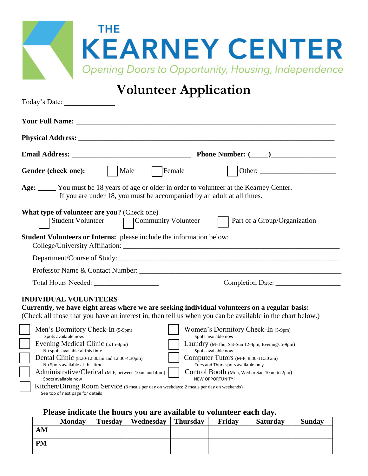| THE.                                                       |
|------------------------------------------------------------|
| <b>KEARNEY CENTER</b>                                      |
| <b>Opening Doors to Opportunity, Housing, Independence</b> |

# **Volunteer Application**

| Today's Date:                                                                                                                                                                                                                      |                                                                                                            |  |  |  |
|------------------------------------------------------------------------------------------------------------------------------------------------------------------------------------------------------------------------------------|------------------------------------------------------------------------------------------------------------|--|--|--|
| <b>The Vour Full Name:</b> The Second Second Second Second Second Second Second Second Second Second Second Second Second Second Second Second Second Second Second Second Second Second Second Second Second Second Second Second |                                                                                                            |  |  |  |
|                                                                                                                                                                                                                                    |                                                                                                            |  |  |  |
|                                                                                                                                                                                                                                    |                                                                                                            |  |  |  |
| Male<br>Female<br>Gender (check one):                                                                                                                                                                                              | Other:                                                                                                     |  |  |  |
| Age: ______ You must be 18 years of age or older in order to volunteer at the Kearney Center.<br>If you are under 18, you must be accompanied by an adult at all times.                                                            |                                                                                                            |  |  |  |
| What type of volunteer are you? (Check one)<br><b>Student Volunteer</b><br>Community Volunteer                                                                                                                                     | Part of a Group/Organization                                                                               |  |  |  |
| Student Volunteers or Interns: please include the information below:                                                                                                                                                               |                                                                                                            |  |  |  |
|                                                                                                                                                                                                                                    |                                                                                                            |  |  |  |
|                                                                                                                                                                                                                                    |                                                                                                            |  |  |  |
|                                                                                                                                                                                                                                    |                                                                                                            |  |  |  |
| <b>INDIVIDUAL VOLUNTEERS</b><br>Currently, we have eight areas where we are seeking individual volunteers on a regular basis:                                                                                                      | (Check all those that you have an interest in, then tell us when you can be available in the chart below.) |  |  |  |
| Men's Dormitory Check-In (5-9pm)<br>Spots available now.                                                                                                                                                                           | Women's Dormitory Check-In (5-9pm)<br>Spots available now.                                                 |  |  |  |
| Evening Medical Clinic (5:15-8pm)<br>No spots available at this time.                                                                                                                                                              | Laundry (M-Thu, Sat-Sun 12-4pm, Evenings 5-9pm)<br>Spots available now.                                    |  |  |  |
| Dental Clinic (8:30-12:30am and 12:30-4:30pm)<br>No Spots available at this time.                                                                                                                                                  | Computer Tutors (M-F, 8:30-11:30 am)<br>Tues and Thurs spots available only                                |  |  |  |
| Administrative/Clerical (M-F, between 10am and 4pm)<br>Spots available now                                                                                                                                                         | Control Booth (Mon, Wed to Sat, 10am to 2pm)<br>NEW OPPORTUNITY!                                           |  |  |  |

 Kitchen/Dining Room Service (3 meals per day on weekdays; 2 meals per day on weekends) See top of next page for details

#### **Please indicate the hours you are available to volunteer each day.**

|           | <b>Monday</b> | <b>Tuesday</b> | Wednesday | <b>Thursday</b> | Friday | <b>Saturday</b> | <b>Sunday</b> |
|-----------|---------------|----------------|-----------|-----------------|--------|-----------------|---------------|
| AM        |               |                |           |                 |        |                 |               |
| <b>PM</b> |               |                |           |                 |        |                 |               |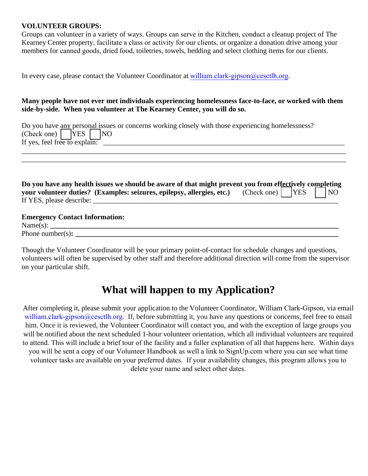#### **VOLUNTEER GROUPS:**

Groups can volunteer in a variety of ways. Groups can serve in the Kitchen, conduct a cleanup project of The Kearney Center property, facilitate a class or activity for our clients, or organize a donation drive among your members for canned goods, dried food, toiletries, towels, bedding and select clothing items for our clients.

In every case, please contact the Volunteer Coordinator at [william.clark-gipson@cesctlh.org](mailto:volunteer@cesctlh.org).

#### **Many people have not ever met individuals experiencing homelessness face-to-face, or worked with them side-by-side. When you volunteer at The Kearney Center, you will do so.**

\_\_\_\_\_\_\_\_\_\_\_\_\_\_\_\_\_\_\_\_\_\_\_\_\_\_\_\_\_\_\_\_\_\_\_\_\_\_\_\_\_\_\_\_\_\_\_\_\_\_\_\_\_\_\_\_\_\_\_\_\_\_\_\_\_\_\_\_\_\_\_\_\_\_\_\_\_\_\_\_\_\_\_\_\_\_\_\_\_\_ \_\_\_\_\_\_\_\_\_\_\_\_\_\_\_\_\_\_\_\_\_\_\_\_\_\_\_\_\_\_\_\_\_\_\_\_\_\_\_\_\_\_\_\_\_\_\_\_\_\_\_\_\_\_\_\_\_\_\_\_\_\_\_\_\_\_\_\_\_\_\_\_\_\_\_\_\_\_\_\_\_\_\_\_\_\_\_\_\_\_

|                                                                    |  | Do you have any personal issues or concerns working closely with those experiencing homelessness? |
|--------------------------------------------------------------------|--|---------------------------------------------------------------------------------------------------|
| (Check one)   $\begin{array}{ c c c c c } \hline \end{array}$   NO |  |                                                                                                   |
| If yes, feel free to explain:                                      |  |                                                                                                   |

| Do you have any health issues we should be aware of that might prevent you from effectively completing |                                                                                                   |  |  |  |
|--------------------------------------------------------------------------------------------------------|---------------------------------------------------------------------------------------------------|--|--|--|
|                                                                                                        | your volunteer duties? (Examples: seizures, epilepsy, allergies, etc.) (Check one)     YES     NO |  |  |  |
| If YES, please describe:                                                                               |                                                                                                   |  |  |  |
|                                                                                                        |                                                                                                   |  |  |  |
| <b>Emergency Contact Information:</b>                                                                  |                                                                                                   |  |  |  |

| <b>NT</b><br>'N.<br>៶ |  |  |
|-----------------------|--|--|
| Phone number          |  |  |

Though the Volunteer Coordinator will be your primary point-of-contact for schedule changes and questions, volunteers will often be supervised by other staff and therefore additional direction will come from the supervisor on your particular shift.

### **What will happen to my Application?**

After completing it, please submit your application to the Volunteer Coordinator, William Clark-Gipson, via email william.clark-gipson@cesctlh.org. If, before submitting it, you have any questions or concerns, feel free to email him. Once it is reviewed, the Volunteer Coordinator will contact you, and with the exception of large groups you will be notified about the next scheduled 1-hour volunteer orientation, which all individual volunteers are required to attend. This will include a brief tour of the facility and a fuller explanation of all that happens here. Within days you will be sent a copy of our Volunteer Handbook as well a link to SignUp.com where you can see what time [volunteer tasks are a](mailto:volunteer@cesctlh.org)vailable on your preferred dates. If your availability changes, this program allows you to delete your name and select other dates.